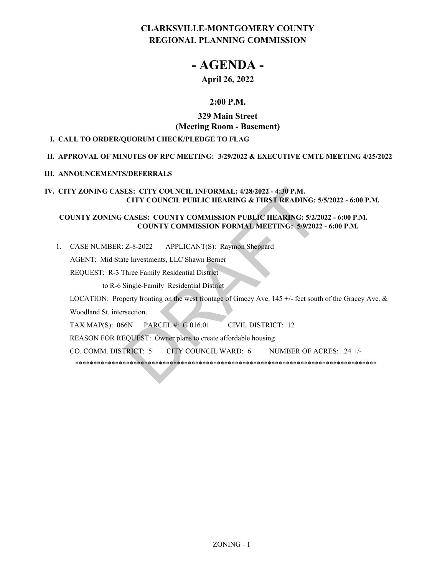## **CLARKSVILLE-MONTGOMERY COUNTY REGIONAL PLANNING COMMISSION**

# **- AGENDA -**

## **April 26, 2022**

## **2:00 P.M.**

## **329 Main Street (Meeting Room - Basement)**

### **I. CALL TO ORDER/QUORUM CHECK/PLEDGE TO FLAG**

#### **II. APPROVAL OF MINUTES OF RPC MEETING: 3/29/2022 & EXECUTIVE CMTE MEETING 4/25/2022**

#### **III. ANNOUNCEMENTS/DEFERRALS**

#### **IV. CITY ZONING CASES: CITY COUNCIL INFORMAL: 4/28/2022 - 4:30 P.M. CITY COUNCIL PUBLIC HEARING & FIRST READING: 5/5/2022 - 6:00 P.M.**

#### **COUNTY ZONING CASES: COUNTY COMMISSION PUBLIC HEARING: 5/2/2022 - 6:00 P.M. COUNTY COMMISSION FORMAL MEETING: 5/9/2022 - 6:00 P.M.**

APPLICANT(S): Raymon Sheppard 1. CASE NUMBER: Z-8-2022

AGENT: Mid State Investments, LLC Shawn Berner

REQUEST: R-3 Three Family Residential District

to R-6 Single-Family Residential District

LOCATION: Property fronting on the west frontage of Gracey Ave. 145 +/- feet south of the Gracey Ave. & Woodland St. intersection. ES: CITY COUNCIL INFORMAL: 4/28/2022 - 4:30 P.M.<br>
CITY COUNCIL PUBLIC HEARING & FIRST READING: 5.<br>
CASES: COUNTY COMMISSION PUBLIC HEARING: 5/2/2<br>
COUNTY COMMISSION FORMAL MEETING: 5/9/2022<br>
Z-8-2022 APPLICANT(S): Raymon S

TAX MAP(S): 066N PARCEL #: G 016.01 CIVIL DISTRICT: 12

REASON FOR REQUEST: Owner plans to create affordable housing

CO. COMM. DISTRICT: 5 CITY COUNCIL WARD: 6 NUMBER OF ACRES: .24 +/-

\*\*\*\*\*\*\*\*\*\*\*\*\*\*\*\*\*\*\*\*\*\*\*\*\*\*\*\*\*\*\*\*\*\*\*\*\*\*\*\*\*\*\*\*\*\*\*\*\*\*\*\*\*\*\*\*\*\*\*\*\*\*\*\*\*\*\*\*\*\*\*\*\*\*\*\*\*\*\*\*\*\*\*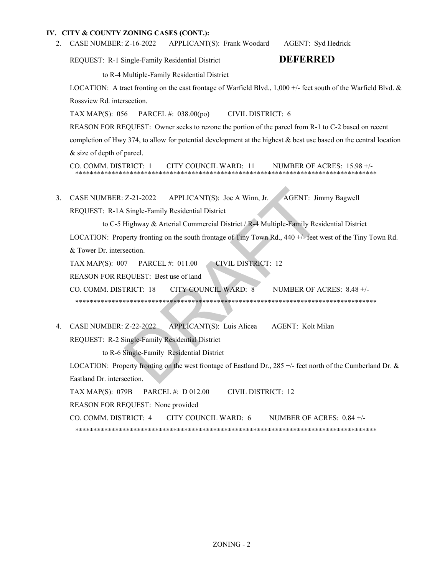APPLICANT(S): Frank Woodard AGENT: Syd Hedrick 2. CASE NUMBER: Z-16-2022

REQUEST: R-1 Single-Family Residential District **DEFERRED**

to R-4 Multiple-Family Residential District

LOCATION: A tract fronting on the east frontage of Warfield Blvd., 1,000 +/- feet south of the Warfield Blvd. & Rossview Rd. intersection.

TAX MAP(S): 056 PARCEL #: 038.00(po) CIVIL DISTRICT: 6

REASON FOR REQUEST: Owner seeks to rezone the portion of the parcel from R-1 to C-2 based on recent completion of Hwy 374, to allow for potential development at the highest & best use based on the central location & size of depth of parcel.

CO. COMM. DISTRICT: 1 CITY COUNCIL WARD: 11 NUMBER OF ACRES: 15.98 +/- \*\*\*\*\*\*\*\*\*\*\*\*\*\*\*\*\*\*\*\*\*\*\*\*\*\*\*\*\*\*\*\*\*\*\*\*\*\*\*\*\*\*\*\*\*\*\*\*\*\*\*\*\*\*\*\*\*\*\*\*\*\*\*\*\*\*\*\*\*\*\*\*\*\*\*\*\*\*\*\*\*\*\*

APPLICANT(S): Joe A Winn, Jr. AGENT: Jimmy Bagwell REQUEST: R-1A Single-Family Residential District 3. CASE NUMBER: Z-21-2022

to C-5 Highway & Arterial Commercial District / R-4 Multiple-Family Residential District LOCATION: Property fronting on the south frontage of Tiny Town Rd., 440  $+/-$  feet west of the Tiny Town Rd. & Tower Dr. intersection. TAX MAP(S): 007 PARCEL #: 011.00 CIVIL DISTRICT: 12 REASON FOR REQUEST: Best use of land CO. COMM. DISTRICT: 18 CITY COUNCIL WARD: 8 NUMBER OF ACRES: 8.48 +/- \*\*\*\*\*\*\*\*\*\*\*\*\*\*\*\*\*\*\*\*\*\*\*\*\*\*\*\*\*\*\*\*\*\*\*\*\*\*\*\*\*\*\*\*\*\*\*\*\*\*\*\*\*\*\*\*\*\*\*\*\*\*\*\*\*\*\*\*\*\*\*\*\*\*\*\*\*\*\*\*\*\*\* 2-21-2022 APPLICANT(S): Joe A Winn, Jr. AGENT: Jin<br>
Single-Family Residential District<br>
Highway & Arterial Commercial District /R-4 Multiple-Family Res<br>
berty fronting on the south frontage of Tiny Town Rd., 440 +/- feet v

APPLICANT(S): Luis Alicea AGENT: Kolt Milan REQUEST: R-2 Single-Family Residential District to R-6 Single-Family Residential District LOCATION: Property fronting on the west frontage of Eastland Dr., 285 +/- feet north of the Cumberland Dr. & Eastland Dr. intersection. TAX MAP(S): 079B PARCEL #: D 012.00 CIVIL DISTRICT: 12 REASON FOR REQUEST: None provided CO. COMM. DISTRICT: 4 CITY COUNCIL WARD: 6 NUMBER OF ACRES: 0.84 +/- \*\*\*\*\*\*\*\*\*\*\*\*\*\*\*\*\*\*\*\*\*\*\*\*\*\*\*\*\*\*\*\*\*\*\*\*\*\*\*\*\*\*\*\*\*\*\*\*\*\*\*\*\*\*\*\*\*\*\*\*\*\*\*\*\*\*\*\*\*\*\*\*\*\*\*\*\*\*\*\*\*\*\* 4. CASE NUMBER: Z-22-2022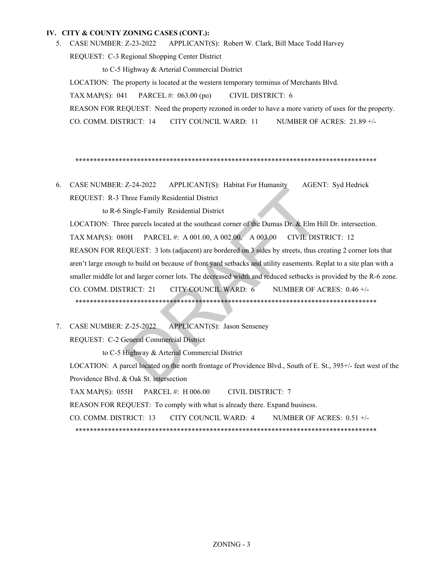APPLICANT(S): Robert W. Clark, Bill Mace Todd Harvey REQUEST: C-3 Regional Shopping Center District 5. CASE NUMBER: Z-23-2022

to C-5 Highway & Arterial Commercial District LOCATION: The property is located at the western temporary terminus of Merchants Blvd. TAX MAP(S): 041 PARCEL #: 063.00 (po) CIVIL DISTRICT: 6 REASON FOR REQUEST: Need the property rezoned in order to have a more variety of uses for the property. CO. COMM. DISTRICT: 14 CITY COUNCIL WARD: 11 NUMBER OF ACRES: 21.89 +/-

\*\*\*\*\*\*\*\*\*\*\*\*\*\*\*\*\*\*\*\*\*\*\*\*\*\*\*\*\*\*\*\*\*\*\*\*\*\*\*\*\*\*\*\*\*\*\*\*\*\*\*\*\*\*\*\*\*\*\*\*\*\*\*\*\*\*\*\*\*\*\*\*\*\*\*\*\*\*\*\*\*\*\*

APPLICANT(S): Habitat For Humanity AGENT: Syd Hedrick REQUEST: R-3 Three Family Residential District 6. CASE NUMBER: Z-24-2022

to R-6 Single-Family Residential District

LOCATION: Three parcels located at the southeast corner of the Dumas Dr. & Elm Hill Dr. intersection. TAX MAP(S): 080H PARCEL #: A 001.00, A 002.00, A 003.00 CIVIL DISTRICT: 12 REASON FOR REQUEST: 3 lots (adjacent) are bordered on 3 sides by streets, thus creating 2 corner lots that aren't large enough to build on because of front yard setbacks and utility easements. Replat to a site plan with a smaller middle lot and larger corner lots. The decreased width and reduced setbacks is provided by the R-6 zone. CO. COMM. DISTRICT: 21 CITY COUNCIL WARD: 6 NUMBER OF ACRES: 0.46 +/- \*\*\*\*\*\*\*\*\*\*\*\*\*\*\*\*\*\*\*\*\*\*\*\*\*\*\*\*\*\*\*\*\*\*\*\*\*\*\*\*\*\*\*\*\*\*\*\*\*\*\*\*\*\*\*\*\*\*\*\*\*\*\*\*\*\*\*\*\*\*\*\*\*\*\*\*\*\*\*\*\*\*\* 2212022 APPLICANT(S). Habital Formulating ACENTRICAL<br>
Single-Family Residential District<br>
ee parcels located at the southeast corner of the Dumas Dr. & Elm H<br>
0H PARCEL #: A 001.00, A 002.00, A 003.00 CIVIL DIS<br>
SQUEST: 3

APPLICANT(S): Jason Senseney REQUEST: C-2 General Commercial District 7. CASE NUMBER: Z-25-2022

to C-5 Highway & Arterial Commercial District LOCATION: A parcel located on the north frontage of Providence Blvd., South of E. St., 395+/- feet west of the Providence Blvd. & Oak St. intersection TAX MAP(S): 055H PARCEL #: H 006.00 CIVIL DISTRICT: 7 REASON FOR REQUEST: To comply with what is already there. Expand business. CO. COMM. DISTRICT: 13 CITY COUNCIL WARD: 4 NUMBER OF ACRES: 0.51 +/- \*\*\*\*\*\*\*\*\*\*\*\*\*\*\*\*\*\*\*\*\*\*\*\*\*\*\*\*\*\*\*\*\*\*\*\*\*\*\*\*\*\*\*\*\*\*\*\*\*\*\*\*\*\*\*\*\*\*\*\*\*\*\*\*\*\*\*\*\*\*\*\*\*\*\*\*\*\*\*\*\*\*\*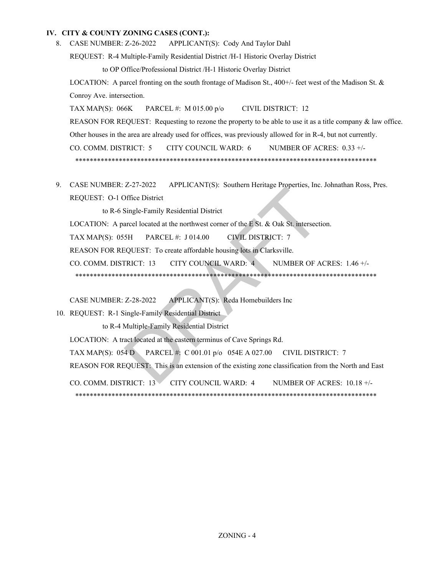8. CASE NUMBER: Z-26-2022 APPLICANT(S): Cody And Taylor Dahl

REQUEST: R-4 Multiple-Family Residential District /H-1 Historic Overlay District

to OP Office/Professional District /H-1 Historic Overlay District

LOCATION: A parcel fronting on the south frontage of Madison St.,  $400+\frac{1}{2}$  feet west of the Madison St. & Conroy Ave. intersection.

TAX MAP(S): 066K PARCEL #: M 015.00 p/o CIVIL DISTRICT: 12

REASON FOR REQUEST: Requesting to rezone the property to be able to use it as a title company & law office.

Other houses in the area are already used for offices, was previously allowed for in R-4, but not currently.

CO. COMM. DISTRICT: 5 CITY COUNCIL WARD: 6 NUMBER OF ACRES: 0.33 +/-

\*\*\*\*\*\*\*\*\*\*\*\*\*\*\*\*\*\*\*\*\*\*\*\*\*\*\*\*\*\*\*\*\*\*\*\*\*\*\*\*\*\*\*\*\*\*\*\*\*\*\*\*\*\*\*\*\*\*\*\*\*\*\*\*\*\*\*\*\*\*\*\*\*\*\*\*\*\*\*\*\*\*\*

9. CASE NUMBER: Z-27-2022 APPLICANT(S): Southern Heritage Properties, Inc. Johnathan Ross, Pres. REQUEST: O-1 Office District 21 2022 ATTENCHAT(0). Solation Hendge Hyperics, meta-<br>
Single-Family Residential District<br>
arcel located at the northwest corner of the E St. & Oak St. intersection<br>
FARCEL #: J 014.00 CIVIL DISTRICT: 7<br>
CQUEST: To create

to R-6 Single-Family Residential District

LOCATION: A parcel located at the northwest corner of the E St. & Oak St. intersection.

TAX MAP(S): 055H PARCEL #: J 014.00 CIVIL DISTRICT: 7

REASON FOR REQUEST: To create affordable housing lots in Clarksville.

CO. COMM. DISTRICT: 13 CITY COUNCIL WARD: 4 NUMBER OF ACRES: 1.46 +/-

\*\*\*\*\*\*\*\*\*\*\*\*\*\*\*\*\*\*\*\*\*\*\*\*\*\*\*\*\*\*\*\*\*\*\*\*\*\*\*\*\*\*\*\*\*\*\*\*\*\*\*\*\*\*\*\*\*\*\*\*\*\*\*\*\*\*\*\*\*\*\*\*\*\*\*\*\*\*\*\*\*\*\*

CASE NUMBER: Z-28-2022 APPLICANT(S): Reda Homebuilders Inc

10. REQUEST: R-1 Single-Family Residential District

to R-4 Multiple-Family Residential District

LOCATION: A tract located at the eastern terminus of Cave Springs Rd.

TAX MAP(S): 054 D PARCEL #: C 001.01 p/o 054E A 027.00 CIVIL DISTRICT: 7

REASON FOR REQUEST: This is an extension of the existing zone classification from the North and East

CO. COMM. DISTRICT: 13 CITY COUNCIL WARD: 4 NUMBER OF ACRES: 10.18 +/- \*\*\*\*\*\*\*\*\*\*\*\*\*\*\*\*\*\*\*\*\*\*\*\*\*\*\*\*\*\*\*\*\*\*\*\*\*\*\*\*\*\*\*\*\*\*\*\*\*\*\*\*\*\*\*\*\*\*\*\*\*\*\*\*\*\*\*\*\*\*\*\*\*\*\*\*\*\*\*\*\*\*\*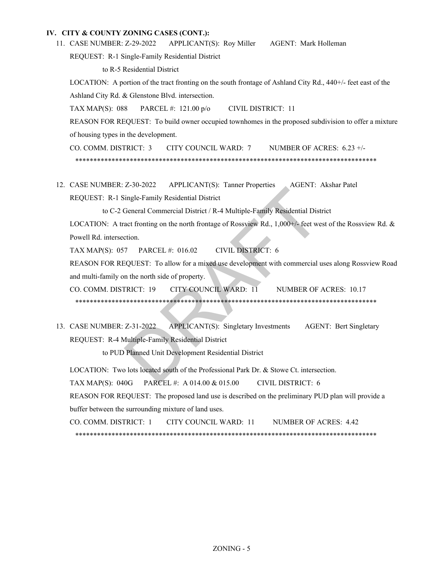APPLICANT(S): Roy Miller AGENT: Mark Holleman 11. CASE NUMBER: Z-29-2022

REQUEST: R-1 Single-Family Residential District

to R-5 Residential District

LOCATION: A portion of the tract fronting on the south frontage of Ashland City Rd., 440+/- feet east of the Ashland City Rd. & Glenstone Blvd. intersection.

TAX MAP(S): 088 PARCEL #: 121.00 p/o CIVIL DISTRICT: 11

REASON FOR REQUEST: To build owner occupied townhomes in the proposed subdivision to offer a mixture of housing types in the development.

CO. COMM. DISTRICT: 3 CITY COUNCIL WARD: 7 NUMBER OF ACRES: 6.23 +/- \*\*\*\*\*\*\*\*\*\*\*\*\*\*\*\*\*\*\*\*\*\*\*\*\*\*\*\*\*\*\*\*\*\*\*\*\*\*\*\*\*\*\*\*\*\*\*\*\*\*\*\*\*\*\*\*\*\*\*\*\*\*\*\*\*\*\*\*\*\*\*\*\*\*\*\*\*\*\*\*\*\*\*

12. CASE NUMBER: Z-30-2022 APPLICANT(S): Tanner Properties AGENT: Akshar Patel REQUEST: R-1 Single-Family Residential District

to C-2 General Commercial District / R-4 Multiple-Family Residential District

LOCATION: A tract fronting on the north frontage of Rossview Rd., 1,000+/- feet west of the Rossview Rd. & Powell Rd. intersection.

TAX MAP(S): 057 PARCEL #: 016.02 CIVIL DISTRICT: 6

REASON FOR REQUEST: To allow for a mixed use development with commercial uses along Rossview Road and multi-family on the north side of property.

CO. COMM. DISTRICT: 19 CITY COUNCIL WARD: 11 NUMBER OF ACRES: 10.17 \*\*\*\*\*\*\*\*\*\*\*\*\*\*\*\*\*\*\*\*\*\*\*\*\*\*\*\*\*\*\*\*\*\*\*\*\*\*\*\*\*\*\*\*\*\*\*\*\*\*\*\*\*\*\*\*\*\*\*\*\*\*\*\*\*\*\*\*\*\*\*\*\*\*\*\*\*\*\*\*\*\*\* E SO 2022 APPLICANT(9). Tailnet Troperats ASENT: 1<br>
Single-Family Residential District<br>
General Commercial District / R-4 Multiple-Family Residential Dist<br>
act fronting on the north frontage of Rossyiew Rd., 1,000+/- feet

13. CASE NUMBER: Z-31-2022 APPLICANT(S): Singletary Investments AGENT: Bert Singletary REQUEST: R-4 Multiple-Family Residential District

to PUD Planned Unit Development Residential District

LOCATION: Two lots located south of the Professional Park Dr. & Stowe Ct. intersection.

TAX MAP(S): 040G PARCEL #: A 014.00 & 015.00 CIVIL DISTRICT: 6

REASON FOR REQUEST: The proposed land use is described on the preliminary PUD plan will provide a buffer between the surrounding mixture of land uses.

CO. COMM. DISTRICT: 1 CITY COUNCIL WARD: 11 NUMBER OF ACRES: 4.42 \*\*\*\*\*\*\*\*\*\*\*\*\*\*\*\*\*\*\*\*\*\*\*\*\*\*\*\*\*\*\*\*\*\*\*\*\*\*\*\*\*\*\*\*\*\*\*\*\*\*\*\*\*\*\*\*\*\*\*\*\*\*\*\*\*\*\*\*\*\*\*\*\*\*\*\*\*\*\*\*\*\*\*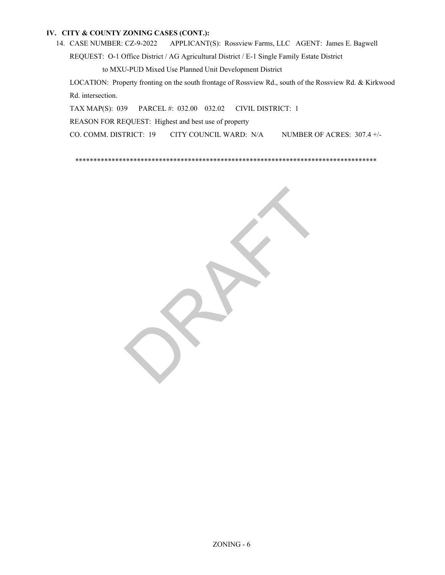APPLICANT(S): Rossview Farms, LLC AGENT: James E. Bagwell REQUEST: O-1 Office District / AG Agricultural District / E-1 Single Family Estate District 14. CASE NUMBER: CZ-9-2022

to MXU-PUD Mixed Use Planned Unit Development District

LOCATION: Property fronting on the south frontage of Rossview Rd., south of the Rossview Rd. & Kirkwood Rd. intersection.

TAX MAP(S): 039 PARCEL #: 032.00 032.02 CIVIL DISTRICT: 1

REASON FOR REQUEST: Highest and best use of property

CO. COMM. DISTRICT: 19 CITY COUNCIL WARD: N/A NUMBER OF ACRES: 307.4 +/-

\*\*\*\*\*\*\*\*\*\*\*\*\*\*\*\*\*\*\*\*\*\*\*\*\*\*\*\*\*\*\*\*\*\*\*\*\*\*\*\*\*\*\*\*\*\*\*\*\*\*\*\*\*\*\*\*\*\*\*\*\*\*\*\*\*\*\*\*\*\*\*\*\*\*\*\*\*\*\*\*\*\*\*

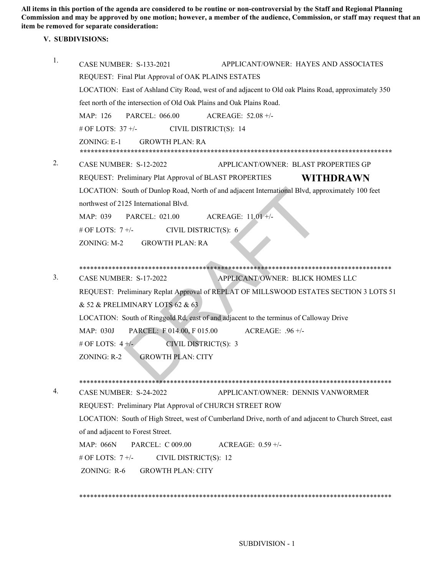**All items in this portion of the agenda are considered to be routine or non-controversial by the Staff and Regional Planning Commission and may be approved by one motion; however, a member of the audience, Commission, or staff may request that an item be removed for separate consideration:** 

#### **V. SUBDIVISIONS:**

| 1.                                                                                                                                                                                         | APPLICANT/OWNER: HAYES AND ASSOCIATES<br><b>CASE NUMBER: S-133-2021</b>                                |  |  |                                            |                                                                       |  |  |
|--------------------------------------------------------------------------------------------------------------------------------------------------------------------------------------------|--------------------------------------------------------------------------------------------------------|--|--|--------------------------------------------|-----------------------------------------------------------------------|--|--|
| REQUEST: Final Plat Approval of OAK PLAINS ESTATES<br>LOCATION: East of Ashland City Road, west of and adjacent to Old oak Plains Road, approximately 350                                  |                                                                                                        |  |  |                                            |                                                                       |  |  |
|                                                                                                                                                                                            |                                                                                                        |  |  |                                            | feet north of the intersection of Old Oak Plains and Oak Plains Road. |  |  |
|                                                                                                                                                                                            | MAP: 126<br><b>PARCEL: 066.00</b><br>ACREAGE: 52.08 +/-                                                |  |  |                                            |                                                                       |  |  |
|                                                                                                                                                                                            | # OF LOTS: $37 +/-$<br>CIVIL DISTRICT(S): 14                                                           |  |  |                                            |                                                                       |  |  |
|                                                                                                                                                                                            | <b>GROWTH PLAN: RA</b><br>ZONING: E-1                                                                  |  |  |                                            |                                                                       |  |  |
| 2.                                                                                                                                                                                         | CASE NUMBER: S-12-2022<br>APPLICANT/OWNER: BLAST PROPERTIES GP                                         |  |  |                                            |                                                                       |  |  |
|                                                                                                                                                                                            | REQUEST: Preliminary Plat Approval of BLAST PROPERTIES<br>WITHDRAWN                                    |  |  |                                            |                                                                       |  |  |
| LOCATION: South of Dunlop Road, North of and adjacent International Blvd, approximately 100 feet                                                                                           |                                                                                                        |  |  |                                            |                                                                       |  |  |
| northwest of 2125 International Blvd.                                                                                                                                                      |                                                                                                        |  |  |                                            |                                                                       |  |  |
|                                                                                                                                                                                            | <b>PARCEL: 021.00</b><br>ACREAGE: $11.01 +/-$<br>MAP: 039                                              |  |  |                                            |                                                                       |  |  |
|                                                                                                                                                                                            | # OF LOTS: $7 +/-$<br>CIVIL DISTRICT(S): 6                                                             |  |  |                                            |                                                                       |  |  |
| ZONING: M-2<br><b>GROWTH PLAN: RA</b>                                                                                                                                                      |                                                                                                        |  |  |                                            |                                                                       |  |  |
|                                                                                                                                                                                            |                                                                                                        |  |  |                                            |                                                                       |  |  |
|                                                                                                                                                                                            |                                                                                                        |  |  |                                            |                                                                       |  |  |
| 3.                                                                                                                                                                                         | CASE NUMBER: S-17-2022<br>APPLICANT/OWNER: BLICK HOMES LLC                                             |  |  |                                            |                                                                       |  |  |
|                                                                                                                                                                                            | REQUEST: Preliminary Replat Approval of REPLAT OF MILLSWOOD ESTATES SECTION 3 LOTS 51                  |  |  |                                            |                                                                       |  |  |
| & 52 & PRELIMINARY LOTS 62 & 63<br>LOCATION: South of Ringgold Rd, east of and adjacent to the terminus of Calloway Drive<br>PARCEL: F 014.00, F 015.00<br>ACREAGE: $.96 +/-$<br>MAP: 030J |                                                                                                        |  |  |                                            |                                                                       |  |  |
|                                                                                                                                                                                            |                                                                                                        |  |  | # OF LOTS: $4 +/-$<br>CIVIL DISTRICT(S): 3 |                                                                       |  |  |
|                                                                                                                                                                                            |                                                                                                        |  |  | <b>GROWTH PLAN: CITY</b><br>ZONING: R-2    |                                                                       |  |  |
|                                                                                                                                                                                            |                                                                                                        |  |  |                                            |                                                                       |  |  |
|                                                                                                                                                                                            |                                                                                                        |  |  |                                            |                                                                       |  |  |
| 4.                                                                                                                                                                                         | CASE NUMBER: S-24-2022<br>APPLICANT/OWNER: DENNIS VANWORMER                                            |  |  |                                            |                                                                       |  |  |
|                                                                                                                                                                                            | REQUEST: Preliminary Plat Approval of CHURCH STREET ROW                                                |  |  |                                            |                                                                       |  |  |
|                                                                                                                                                                                            | LOCATION: South of High Street, west of Cumberland Drive, north of and adjacent to Church Street, east |  |  |                                            |                                                                       |  |  |
|                                                                                                                                                                                            | of and adjacent to Forest Street.                                                                      |  |  |                                            |                                                                       |  |  |
|                                                                                                                                                                                            | <b>MAP: 066N</b><br>PARCEL: C 009.00<br>ACREAGE: $0.59 +/-$                                            |  |  |                                            |                                                                       |  |  |
|                                                                                                                                                                                            | # OF LOTS: $7 +/-$<br>CIVIL DISTRICT(S): 12                                                            |  |  |                                            |                                                                       |  |  |
| ZONING: $R-6$<br><b>GROWTH PLAN: CITY</b>                                                                                                                                                  |                                                                                                        |  |  |                                            |                                                                       |  |  |
|                                                                                                                                                                                            |                                                                                                        |  |  |                                            |                                                                       |  |  |
|                                                                                                                                                                                            |                                                                                                        |  |  |                                            |                                                                       |  |  |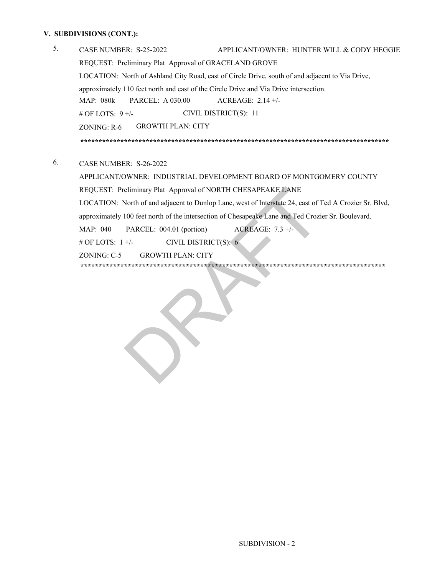#### **V. SUBDIVISIONS (CONT.):**

- CASE NUMBER: S-25-2022 APPLICANT/OWNER: HUNTER WILL & CODY HEGGIE REQUEST: Preliminary Plat Approval of GRACELAND GROVE LOCATION: North of Ashland City Road, east of Circle Drive, south of and adjacent to Via Drive, approximately 110 feet north and east of the Circle Drive and Via Drive intersection. MAP: 080k PARCEL: A 030.00 ACREAGE: 2.14 +/- # OF LOTS: 9 +/- ZONING: R-6 CIVIL DISTRICT(S): 11 GROWTH PLAN: CITY 5. 6. **\*\*\*\*\*\*\*\*\*\*\*\*\*\*\*\*\*\*\*\*\*\*\*\*\*\*\*\*\*\*\*\*\*\*\*\*\*\*\*\*\*\*\*\*\*\*\*\*\*\*\*\*\*\*\*\*\*\*\*\*\*\*\*\*\*\*\*\*\*\*\*\*\*\*\*\*\*\*\*\*\*\*\*\*\*** CASE NUMBER: S-26-2022
	- \*\*\*\*\*\*\*\*\*\*\*\*\*\*\*\*\*\*\*\*\*\*\*\*\*\*\*\*\*\*\*\*\*\*\*\*\*\*\*\*\*\*\*\*\*\*\*\*\*\*\*\*\*\*\*\*\*\*\*\*\*\*\*\*\*\*\*\*\*\*\*\*\*\*\*\*\*\*\*\*\*\*\*\*\*\* MAP: 040 PARCEL: 004.01 (portion) ACREAGE: 7.3 +/-  $\#$  OF LOTS:  $1 +/-$  CIVIL DISTRICT(S): 6 ZONING: C-5 GROWTH PLAN: CITY APPLICANT/OWNER: INDUSTRIAL DEVELOPMENT BOARD OF MONTGOMERY COUNTY REQUEST: Preliminary Plat Approval of NORTH CHESAPEAKE LANE LOCATION: North of and adjacent to Dunlop Lane, west of Interstate 24, east of Ted A Crozier Sr. Blvd, approximately 100 feet north of the intersection of Chesapeake Lane and Ted Crozier Sr. Boulevard. **\*\*\*\*\*\*\*\*\*\*\*\*\*\*\*\*\*\*\*\*\*\*\*\*\*\*\*\*\*\*\*\*\*\*\*\*\*\*\*\*\*\*\*\*\*\*\*\*\*\*\*\*\*\*\*\*\*\*\*\*\*\*\*\*\*\*\*\*\*\*\*\*\*\*\*\*\*\*\*\*\*\*\*\*** eliminary Plat Approval of NORTH CHESAPEAKE LANE<br>
	North of and adjacent to Dunlop Lane, west of Interstate 24, east of 1<br>
	100 feet north of the intersection of Chesapeake Lane and Ted Crozi<br>
	PARCEL: 004.01 (portion) ACREAG

\*\*\*\*\*\*\*\*\*\*\*\*\*\*\*\*\*\*\*\*\*\*\*\*\*\*\*\*\*\*\*\*\*\*\*\*\*\*\*\*\*\*\*\*\*\*\*\*\*\*\*\*\*\*\*\*\*\*\*\*\*\*\*\*\*\*\*\*\*\*\*\*\*\*\*\*\*\*\*\*\*\*\*\*\*\*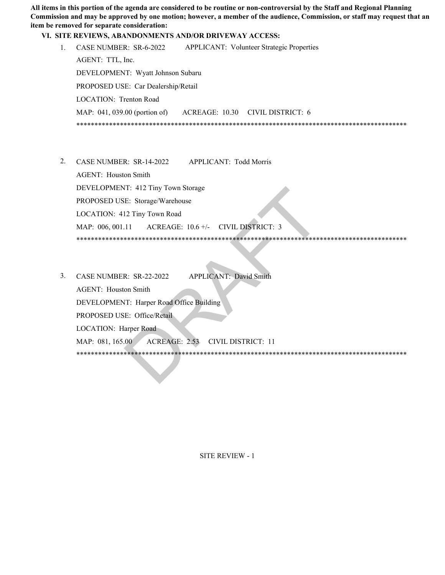**All items in this portion of the agenda are considered to be routine or non-controversial by the Staff and Regional Planning Commission and may be approved by one motion; however, a member of the audience, Commission, or staff may request that an item be removed for separate consideration:** 

#### **VI. SITE REVIEWS, ABANDONMENTS AND/OR DRIVEWAY ACCESS:**

|  | CASE NUMBER: SR-6-2022                                                   |  | <b>APPLICANT:</b> Volunteer Strategic Properties |  |
|--|--------------------------------------------------------------------------|--|--------------------------------------------------|--|
|  | AGENT: TTL, Inc.                                                         |  |                                                  |  |
|  | DEVELOPMENT: Wyatt Johnson Subaru<br>PROPOSED USE: Car Dealership/Retail |  |                                                  |  |
|  |                                                                          |  |                                                  |  |
|  | LOCATION: Trenton Road                                                   |  |                                                  |  |
|  | MAP: 041, 039.00 (portion of)                                            |  | ACREAGE: 10.30 CIVIL DISTRICT: 6                 |  |
|  |                                                                          |  |                                                  |  |
|  |                                                                          |  |                                                  |  |

- CASE NUMBER: SR-14-2022 APPLICANT: Todd Morris 2. AGENT: Houston Smith DEVELOPMENT: 412 Tiny Town Storage PROPOSED USE: Storage/Warehouse LOCATION: 412 Tiny Town Road MAP: 006, 001.11 ACREAGE: 10.6 +/- CIVIL DISTRICT: 3 \*\*\*\*\*\*\*\*\*\*\*\*\*\*\*\*\*\*\*\*\*\*\*\*\*\*\*\*\*\*\*\*\*\*\*\*\*\*\*\*\*\*\*\*\*\*\*\*\*\*\*\*\*\*\*\*\*\*\*\*\*\*\*\*\*\*\*\*\*\*\*\*\*\*\*\*\*\*\*\*\*\*\*\*\*\*\*\*\*\*\*
- CASE NUMBER: SR-22-2022 APPLICANT: David Smith 3. AGENT: Houston Smith DEVELOPMENT: Harper Road Office Building PROPOSED USE: Office/Retail LOCATION: Harper Road MAP: 081, 165.00 ACREAGE: 2.53 CIVIL DISTRICT: 11 \*\*\*\*\*\*\*\*\*\*\*\*\*\*\*\*\*\*\*\*\*\*\*\*\*\*\*\*\*\*\*\*\*\*\*\*\*\*\*\*\*\*\*\*\*\*\*\*\*\*\*\*\*\*\*\*\*\*\*\*\*\*\*\*\*\*\*\*\*\*\*\*\*\*\*\*\*\*\*\*\*\*\*\*\*\*\*\*\*\*\* T: 412 Tiny Town Storage<br>
E: Storage/Warehouse<br>
12 Tiny Town Road<br>
11 ACREAGE: 10.6 +/- CIVIL DISTRICT: 3<br>
R: SR-22-2022 APPLICANT: David Smith<br>
on Smith<br>
T: Harper Road Office Building<br>
E: Office/Retail<br>
arper Road<br>
00 AC

SITE REVIEW - 1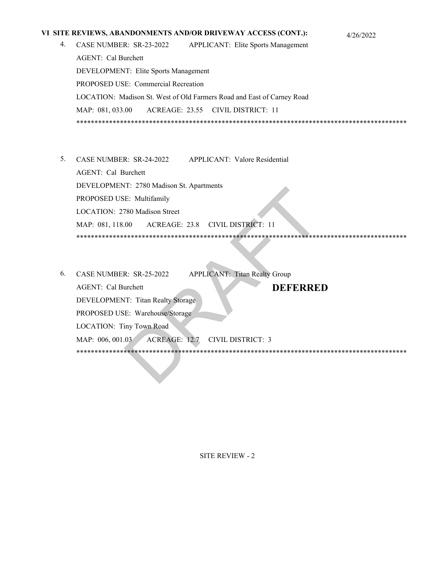#### **VI SITE REVIEWS, ABANDONMENTS AND/OR DRIVEWAY ACCESS (CONT.):** 4/26/2022

- CASE NUMBER: SR-23-2022 APPLICANT: Elite Sports Management AGENT: Cal Burchett DEVELOPMENT: Elite Sports Management PROPOSED USE: Commercial Recreation LOCATION: Madison St. West of Old Farmers Road and East of Carney Road MAP: 081, 033.00 ACREAGE: 23.55 CIVIL DISTRICT: 11 \*\*\*\*\*\*\*\*\*\*\*\*\*\*\*\*\*\*\*\*\*\*\*\*\*\*\*\*\*\*\*\*\*\*\*\*\*\*\*\*\*\*\*\*\*\*\*\*\*\*\*\*\*\*\*\*\*\*\*\*\*\*\*\*\*\*\*\*\*\*\*\*\*\*\*\*\*\*\*\*\*\*\*\*\*\*\*\*\*\*\* 4.
- CASE NUMBER: SR-24-2022 APPLICANT: Valore Residential 5. AGENT: Cal Burchett DEVELOPMENT: 2780 Madison St. Apartments PROPOSED USE: Multifamily LOCATION: 2780 Madison Street MAP: 081, 118.00 ACREAGE: 23.8 CIVIL DISTRICT: 11 \*\*\*\*\*\*\*\*\*\*\*\*\*\*\*\*\*\*\*\*\*\*\*\*\*\*\*\*\*\*\*\*\*\*\*\*\*\*\*\*\*\*\*\*\*\*\*\*\*\*\*\*\*\*\*\*\*\*\*\*\*\*\*\*\*\*\*\*\*\*\*\*\*\*\*\*\*\*\*\*\*\*\*\*\*\*\*\*\*\*\*
- APPLICANT: Titan Realty Group AGENT: Cal Burchett DEVELOPMENT: Titan Realty Storage PROPOSED USE: Warehouse/Storage LOCATION: Tiny Town Road MAP: 006, 001.03 ACREAGE: 12.7 CIVIL DISTRICT: 3 \*\*\*\*\*\*\*\*\*\*\*\*\*\*\*\*\*\*\*\*\*\*\*\*\*\*\*\*\*\*\*\*\*\*\*\*\*\*\*\*\*\*\*\*\*\*\*\*\*\*\*\*\*\*\*\*\*\*\*\*\*\*\*\*\*\*\*\*\*\*\*\*\*\*\*\*\*\*\*\*\*\*\*\*\*\*\*\*\*\*\* 6. CASE NUMBER: SR-25-2022 **DEFERRED** T. 2760 Madison St. Apartments<br>
E: Multifamily<br>
780 Madison Street<br>
00 ACREAGE: 23.8 CIVIL DISTRICT: 11<br>
11. 2760 Madison Street<br>
00 ACREAGE: 23.8 CIVIL DISTRICT: 11<br>
11. Titan Realty Storage<br>
R: SR-25-2022 APPLICANT: Tita

SITE REVIEW - 2